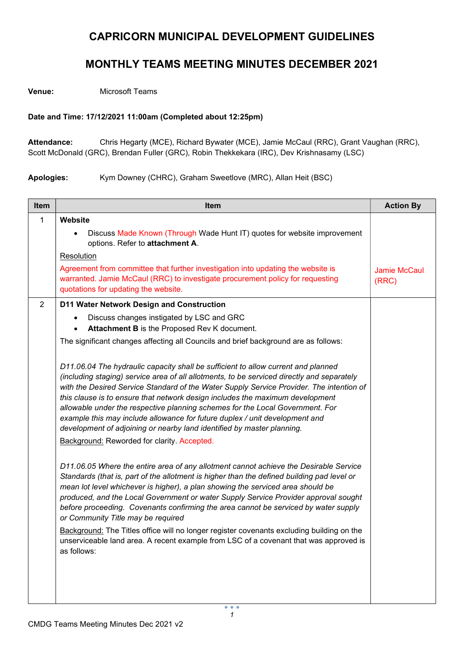## CAPRICORN MUNICIPAL DEVELOPMENT GUIDELINES

## MONTHLY TEAMS MEETING MINUTES DECEMBER 2021

Venue: Microsoft Teams

## Date and Time: 17/12/2021 11:00am (Completed about 12:25pm)

Attendance: Chris Hegarty (MCE), Richard Bywater (MCE), Jamie McCaul (RRC), Grant Vaughan (RRC), Scott McDonald (GRC), Brendan Fuller (GRC), Robin Thekkekara (IRC), Dev Krishnasamy (LSC)

Apologies: Kym Downey (CHRC), Graham Sweetlove (MRC), Allan Heit (BSC)

| Item           | <b>Item</b>                                                                                                                                                                                                                                                                                                                                                                                                                                                                                                                                                                                                                                                                                     | <b>Action By</b>             |
|----------------|-------------------------------------------------------------------------------------------------------------------------------------------------------------------------------------------------------------------------------------------------------------------------------------------------------------------------------------------------------------------------------------------------------------------------------------------------------------------------------------------------------------------------------------------------------------------------------------------------------------------------------------------------------------------------------------------------|------------------------------|
| 1              | Website                                                                                                                                                                                                                                                                                                                                                                                                                                                                                                                                                                                                                                                                                         |                              |
|                | Discuss Made Known (Through Wade Hunt IT) quotes for website improvement<br>options. Refer to attachment A.                                                                                                                                                                                                                                                                                                                                                                                                                                                                                                                                                                                     |                              |
|                | Resolution                                                                                                                                                                                                                                                                                                                                                                                                                                                                                                                                                                                                                                                                                      |                              |
|                | Agreement from committee that further investigation into updating the website is<br>warranted. Jamie McCaul (RRC) to investigate procurement policy for requesting<br>quotations for updating the website.                                                                                                                                                                                                                                                                                                                                                                                                                                                                                      | <b>Jamie McCaul</b><br>(RRC) |
| $\overline{2}$ | D11 Water Network Design and Construction                                                                                                                                                                                                                                                                                                                                                                                                                                                                                                                                                                                                                                                       |                              |
|                | Discuss changes instigated by LSC and GRC<br>Attachment B is the Proposed Rev K document.                                                                                                                                                                                                                                                                                                                                                                                                                                                                                                                                                                                                       |                              |
|                | The significant changes affecting all Councils and brief background are as follows:                                                                                                                                                                                                                                                                                                                                                                                                                                                                                                                                                                                                             |                              |
|                | D11.06.04 The hydraulic capacity shall be sufficient to allow current and planned<br>(including staging) service area of all allotments, to be serviced directly and separately<br>with the Desired Service Standard of the Water Supply Service Provider. The intention of<br>this clause is to ensure that network design includes the maximum development<br>allowable under the respective planning schemes for the Local Government. For<br>example this may include allowance for future duplex / unit development and<br>development of adjoining or nearby land identified by master planning.<br><b>Background: Reworded for clarity. Accepted.</b>                                    |                              |
|                | D11.06.05 Where the entire area of any allotment cannot achieve the Desirable Service<br>Standards (that is, part of the allotment is higher than the defined building pad level or<br>mean lot level whichever is higher), a plan showing the serviced area should be<br>produced, and the Local Government or water Supply Service Provider approval sought<br>before proceeding. Covenants confirming the area cannot be serviced by water supply<br>or Community Title may be required<br>Background: The Titles office will no longer register covenants excluding building on the<br>unserviceable land area. A recent example from LSC of a covenant that was approved is<br>as follows: |                              |
|                |                                                                                                                                                                                                                                                                                                                                                                                                                                                                                                                                                                                                                                                                                                 |                              |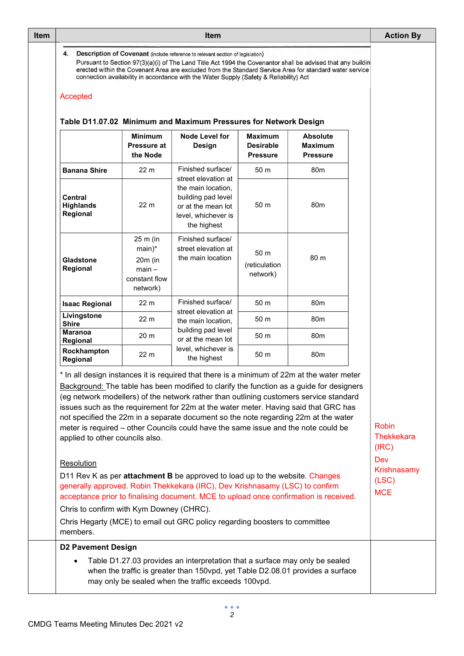| <b>Item</b> |                                                                                                                                                                                                                                                                                                                                                                                                                                                                                          | <b>Action By</b>                                                                                                                                                                                                                                                                                                                                                                                                                                                                                                                                                                                                                                                                                                                                        |                                                                                                                             |                                                |                                                      |  |  |  |
|-------------|------------------------------------------------------------------------------------------------------------------------------------------------------------------------------------------------------------------------------------------------------------------------------------------------------------------------------------------------------------------------------------------------------------------------------------------------------------------------------------------|---------------------------------------------------------------------------------------------------------------------------------------------------------------------------------------------------------------------------------------------------------------------------------------------------------------------------------------------------------------------------------------------------------------------------------------------------------------------------------------------------------------------------------------------------------------------------------------------------------------------------------------------------------------------------------------------------------------------------------------------------------|-----------------------------------------------------------------------------------------------------------------------------|------------------------------------------------|------------------------------------------------------|--|--|--|
|             | Description of Covenant (include reference to relevant section of legislation)<br>4.<br>Pursuant to Section 97(3)(a)(i) of The Land Title Act 1994 the Covenantor shall be advised that any buildin<br>erected within the Covenant Area are excluded from the Standard Service Area for standard water service<br>connection availability in accordance with the Water Supply (Safety & Reliability) Act<br>Accepted<br>Table D11.07.02 Minimum and Maximum Pressures for Network Design |                                                                                                                                                                                                                                                                                                                                                                                                                                                                                                                                                                                                                                                                                                                                                         |                                                                                                                             |                                                |                                                      |  |  |  |
|             |                                                                                                                                                                                                                                                                                                                                                                                                                                                                                          | <b>Minimum</b><br><b>Pressure at</b><br>the Node                                                                                                                                                                                                                                                                                                                                                                                                                                                                                                                                                                                                                                                                                                        | <b>Node Level for</b><br><b>Design</b>                                                                                      | Maximum<br><b>Desirable</b><br><b>Pressure</b> | <b>Absolute</b><br><b>Maximum</b><br><b>Pressure</b> |  |  |  |
|             | <b>Banana Shire</b>                                                                                                                                                                                                                                                                                                                                                                                                                                                                      | 22 <sub>m</sub>                                                                                                                                                                                                                                                                                                                                                                                                                                                                                                                                                                                                                                                                                                                                         | Finished surface/                                                                                                           | 50 m                                           | 80 <sub>m</sub>                                      |  |  |  |
|             | <b>Central</b><br><b>Highlands</b><br>Regional                                                                                                                                                                                                                                                                                                                                                                                                                                           | 22 <sub>m</sub>                                                                                                                                                                                                                                                                                                                                                                                                                                                                                                                                                                                                                                                                                                                                         | street elevation at<br>the main location.<br>building pad level<br>or at the mean lot<br>level, whichever is<br>the highest | 50 m                                           | 80 <sub>m</sub>                                      |  |  |  |
|             | Gladstone<br>Regional                                                                                                                                                                                                                                                                                                                                                                                                                                                                    | 25 m (in<br>$main)$ *<br>$20m$ (in<br>$main -$<br>constant flow<br>network)                                                                                                                                                                                                                                                                                                                                                                                                                                                                                                                                                                                                                                                                             | Finished surface/<br>street elevation at<br>the main location                                                               | 50 m<br>(reticulation<br>network)              | 80 m                                                 |  |  |  |
|             | <b>Isaac Regional</b>                                                                                                                                                                                                                                                                                                                                                                                                                                                                    | 22 <sub>m</sub>                                                                                                                                                                                                                                                                                                                                                                                                                                                                                                                                                                                                                                                                                                                                         | Finished surface/                                                                                                           | 50 m                                           | 80 <sub>m</sub>                                      |  |  |  |
|             | Livingstone<br><b>Shire</b>                                                                                                                                                                                                                                                                                                                                                                                                                                                              | 22 m                                                                                                                                                                                                                                                                                                                                                                                                                                                                                                                                                                                                                                                                                                                                                    | street elevation at<br>the main location,<br>building pad level<br>or at the mean lot                                       | 50 m                                           | 80 <sub>m</sub>                                      |  |  |  |
|             | <b>Maranoa</b><br><b>Regional</b>                                                                                                                                                                                                                                                                                                                                                                                                                                                        | 20 <sub>m</sub>                                                                                                                                                                                                                                                                                                                                                                                                                                                                                                                                                                                                                                                                                                                                         |                                                                                                                             | 50 m                                           | 80 <sub>m</sub>                                      |  |  |  |
|             | Rockhampton<br>Regional                                                                                                                                                                                                                                                                                                                                                                                                                                                                  | 22 m                                                                                                                                                                                                                                                                                                                                                                                                                                                                                                                                                                                                                                                                                                                                                    | level, whichever is<br>the highest                                                                                          | 50 <sub>m</sub>                                | 80 <sub>m</sub>                                      |  |  |  |
|             | Resolution                                                                                                                                                                                                                                                                                                                                                                                                                                                                               | * In all design instances it is required that there is a minimum of 22m at the water meter<br>Background: The table has been modified to clarify the function as a guide for designers<br>(eg network modellers) of the network rather than outlining customers service standard<br>issues such as the requirement for 22m at the water meter. Having said that GRC has<br>not specified the 22m in a separate document so the note regarding 22m at the water<br>meter is required - other Councils could have the same issue and the note could be<br>applied to other councils also.<br>D11 Rev K as per attachment B be approved to load up to the website. Changes<br>generally approved. Robin Thekkekara (IRC), Dev Krishnasamy (LSC) to confirm |                                                                                                                             |                                                |                                                      |  |  |  |
|             | acceptance prior to finalising document. MCE to upload once confirmation is received.<br>Chris to confirm with Kym Downey (CHRC).<br>Chris Hegarty (MCE) to email out GRC policy regarding boosters to committee<br>members.                                                                                                                                                                                                                                                             | <b>MCE</b>                                                                                                                                                                                                                                                                                                                                                                                                                                                                                                                                                                                                                                                                                                                                              |                                                                                                                             |                                                |                                                      |  |  |  |
|             | <b>D2 Pavement Design</b>                                                                                                                                                                                                                                                                                                                                                                                                                                                                |                                                                                                                                                                                                                                                                                                                                                                                                                                                                                                                                                                                                                                                                                                                                                         |                                                                                                                             |                                                |                                                      |  |  |  |
|             | Table D1.27.03 provides an interpretation that a surface may only be sealed<br>when the traffic is greater than 150vpd, yet Table D2.08.01 provides a surface<br>may only be sealed when the traffic exceeds 100vpd.                                                                                                                                                                                                                                                                     |                                                                                                                                                                                                                                                                                                                                                                                                                                                                                                                                                                                                                                                                                                                                                         |                                                                                                                             |                                                |                                                      |  |  |  |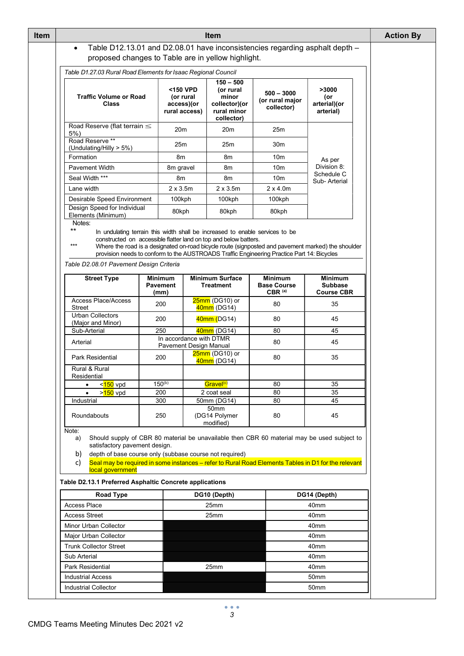| <b>Item</b> | <b>Item</b>                                                                                                                                                                                                                                                                                                                                                                                                                                                  |                                           |                                                      |      |                                                                                 |                                                     |                                                       | <b>Action By</b> |  |
|-------------|--------------------------------------------------------------------------------------------------------------------------------------------------------------------------------------------------------------------------------------------------------------------------------------------------------------------------------------------------------------------------------------------------------------------------------------------------------------|-------------------------------------------|------------------------------------------------------|------|---------------------------------------------------------------------------------|-----------------------------------------------------|-------------------------------------------------------|------------------|--|
|             | Table D12.13.01 and D2.08.01 have inconsistencies regarding asphalt depth -<br>$\bullet$                                                                                                                                                                                                                                                                                                                                                                     |                                           |                                                      |      |                                                                                 |                                                     |                                                       |                  |  |
|             | proposed changes to Table are in yellow highlight.                                                                                                                                                                                                                                                                                                                                                                                                           |                                           |                                                      |      |                                                                                 |                                                     |                                                       |                  |  |
|             | Table D1.27.03 Rural Road Elements for Isaac Regional Council                                                                                                                                                                                                                                                                                                                                                                                                |                                           |                                                      |      |                                                                                 |                                                     |                                                       |                  |  |
|             | <b>Traffic Volume or Road</b><br><b>Class</b>                                                                                                                                                                                                                                                                                                                                                                                                                |                                           | <150 VPD<br>(or rural<br>access)(or<br>rural access) |      | $150 - 500$<br>(or rural<br>minor<br>collector)(or<br>rural minor<br>collector) | $500 - 3000$<br>(or rural major<br>collector)       | >3000<br>(or<br>arterial)(or<br>arterial)             |                  |  |
|             | Road Reserve (flat terrain $\leq$<br>5%                                                                                                                                                                                                                                                                                                                                                                                                                      |                                           | 20 <sub>m</sub>                                      |      | 20 <sub>m</sub>                                                                 | 25m                                                 |                                                       |                  |  |
|             | Road Reserve **<br>(Undulating/Hilly > 5%)<br>Formation<br><b>Pavement Width</b><br>Seal Width ***                                                                                                                                                                                                                                                                                                                                                           |                                           | 25m                                                  |      | 25m                                                                             | 30 <sub>m</sub>                                     |                                                       |                  |  |
|             |                                                                                                                                                                                                                                                                                                                                                                                                                                                              |                                           | 8m<br>8m gravel<br>8m                                |      | 8m                                                                              | 10 <sub>m</sub>                                     | As per<br>Division 8:<br>Schedule C<br>Sub-Arterial   |                  |  |
|             |                                                                                                                                                                                                                                                                                                                                                                                                                                                              |                                           |                                                      |      | 8m                                                                              | 10 <sub>m</sub>                                     |                                                       |                  |  |
|             |                                                                                                                                                                                                                                                                                                                                                                                                                                                              |                                           |                                                      |      | 8m                                                                              | 10 <sub>m</sub>                                     |                                                       |                  |  |
|             | Lane width                                                                                                                                                                                                                                                                                                                                                                                                                                                   |                                           | $2 \times 3.5$ m                                     |      | $2 \times 3.5m$                                                                 | $2 \times 4.0$ m                                    |                                                       |                  |  |
|             | Desirable Speed Environment                                                                                                                                                                                                                                                                                                                                                                                                                                  |                                           | 100kph                                               |      | 100kph                                                                          | 100kph                                              |                                                       |                  |  |
|             | Design Speed for Individual<br>Elements (Minimum)                                                                                                                                                                                                                                                                                                                                                                                                            |                                           | 80kph                                                |      | 80kph                                                                           | 80kph                                               |                                                       |                  |  |
|             | $***$<br>In undulating terrain this width shall be increased to enable services to be<br>constructed on accessible flatter land on top and below batters.<br>$***$<br>Where the road is a designated on-road bicycle route (signposted and pavement marked) the shoulder<br>provision needs to conform to the AUSTROADS Traffic Engineering Practice Part 14: Bicycles<br>Table D2.08.01 Pavement Design Criteria                                            |                                           |                                                      |      |                                                                                 |                                                     |                                                       |                  |  |
|             | <b>Street Type</b>                                                                                                                                                                                                                                                                                                                                                                                                                                           | <b>Minimum</b><br><b>Pavement</b><br>(mm) |                                                      |      | <b>Minimum Surface</b><br><b>Treatment</b>                                      | <b>Minimum</b><br><b>Base Course</b><br>$CBR^{(a)}$ | <b>Minimum</b><br><b>Subbase</b><br><b>Course CBR</b> |                  |  |
|             | <b>Access Place/Access</b><br>Street                                                                                                                                                                                                                                                                                                                                                                                                                         | 200                                       |                                                      |      | 25mm (DG10) or<br>40mm (DG14)                                                   | 80                                                  | 35                                                    |                  |  |
|             | <b>Urban Collectors</b><br>(Major and Minor)                                                                                                                                                                                                                                                                                                                                                                                                                 | 200                                       |                                                      |      | 40mm (DG14)                                                                     | 80                                                  | 45                                                    |                  |  |
|             | Sub-Arterial                                                                                                                                                                                                                                                                                                                                                                                                                                                 | 250                                       |                                                      |      | 40mm (DG14)                                                                     | 80                                                  | 45                                                    |                  |  |
|             | Arterial                                                                                                                                                                                                                                                                                                                                                                                                                                                     |                                           |                                                      |      | In accordance with DTMR<br><b>Pavement Design Manual</b>                        | 80                                                  | 45                                                    |                  |  |
|             | Park Residential                                                                                                                                                                                                                                                                                                                                                                                                                                             | 200                                       |                                                      |      | 25mm (DG10) or<br>40mm (DG14)                                                   | 80                                                  | 35                                                    |                  |  |
|             | Rural & Rural<br>Residential                                                                                                                                                                                                                                                                                                                                                                                                                                 |                                           |                                                      |      |                                                                                 |                                                     |                                                       |                  |  |
|             | < <mark>150</mark> vpd<br>$\bullet$                                                                                                                                                                                                                                                                                                                                                                                                                          | $150^{(b)}$                               |                                                      |      | Gravel <sup>(c)</sup>                                                           | 80                                                  | 35                                                    |                  |  |
|             | > <mark>150</mark> vpd<br>Industrial                                                                                                                                                                                                                                                                                                                                                                                                                         | 200<br>300                                |                                                      |      | 2 coat seal<br>50mm (DG14)                                                      | 80<br>80                                            | 35<br>45                                              |                  |  |
|             | Roundabouts                                                                                                                                                                                                                                                                                                                                                                                                                                                  | 250                                       |                                                      |      | 50mm<br>(DG14 Polymer<br>modified)                                              | 80                                                  | 45                                                    |                  |  |
|             | Note:<br>Should supply of CBR 80 material be unavailable then CBR 60 material may be used subject to<br>a)<br>satisfactory pavement design.<br>depth of base course only (subbase course not required)<br>b)<br>Seal may be required in some instances - refer to Rural Road Elements Tables in D1 for the relevant<br>c)<br>local government<br>Table D2.13.1 Preferred Asphaltic Concrete applications<br>DG10 (Depth)<br>DG14 (Depth)<br><b>Road Type</b> |                                           |                                                      |      |                                                                                 |                                                     |                                                       |                  |  |
|             |                                                                                                                                                                                                                                                                                                                                                                                                                                                              |                                           |                                                      |      |                                                                                 |                                                     |                                                       |                  |  |
|             | <b>Access Place</b>                                                                                                                                                                                                                                                                                                                                                                                                                                          |                                           |                                                      | 25mm |                                                                                 |                                                     | 40mm                                                  |                  |  |
|             | <b>Access Street</b>                                                                                                                                                                                                                                                                                                                                                                                                                                         |                                           |                                                      |      | 25mm                                                                            |                                                     | 40mm                                                  |                  |  |
|             | <b>Minor Urban Collector</b>                                                                                                                                                                                                                                                                                                                                                                                                                                 |                                           |                                                      |      |                                                                                 |                                                     | 40 <sub>mm</sub>                                      |                  |  |
|             | Major Urban Collector                                                                                                                                                                                                                                                                                                                                                                                                                                        |                                           | 40 <sub>mm</sub>                                     |      |                                                                                 |                                                     |                                                       |                  |  |
|             | <b>Trunk Collector Street</b><br>40mm                                                                                                                                                                                                                                                                                                                                                                                                                        |                                           |                                                      |      |                                                                                 |                                                     |                                                       |                  |  |
|             | Sub Arterial                                                                                                                                                                                                                                                                                                                                                                                                                                                 | 40mm                                      |                                                      |      |                                                                                 |                                                     |                                                       |                  |  |
|             | Park Residential                                                                                                                                                                                                                                                                                                                                                                                                                                             |                                           |                                                      |      | 25mm                                                                            |                                                     | 40mm                                                  |                  |  |
|             | <b>Industrial Access</b>                                                                                                                                                                                                                                                                                                                                                                                                                                     |                                           |                                                      |      |                                                                                 |                                                     | 50mm                                                  |                  |  |
|             | <b>Industrial Collector</b><br>50mm                                                                                                                                                                                                                                                                                                                                                                                                                          |                                           |                                                      |      |                                                                                 |                                                     |                                                       |                  |  |
|             |                                                                                                                                                                                                                                                                                                                                                                                                                                                              |                                           |                                                      |      |                                                                                 |                                                     |                                                       |                  |  |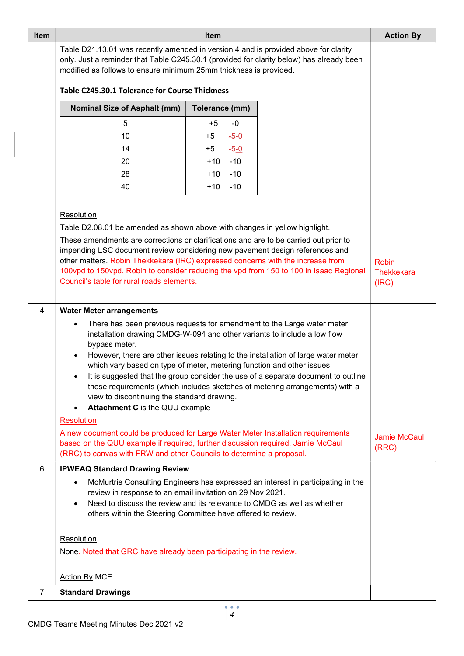| Item |                                                                                                                                                                                                                                                                        | <b>Action By</b>                  |                                                                                  |                              |  |  |  |
|------|------------------------------------------------------------------------------------------------------------------------------------------------------------------------------------------------------------------------------------------------------------------------|-----------------------------------|----------------------------------------------------------------------------------|------------------------------|--|--|--|
|      | Table D21.13.01 was recently amended in version 4 and is provided above for clarity<br>only. Just a reminder that Table C245.30.1 (provided for clarity below) has already been<br>modified as follows to ensure minimum 25mm thickness is provided.                   |                                   |                                                                                  |                              |  |  |  |
|      | Table C245.30.1 Tolerance for Course Thickness                                                                                                                                                                                                                         |                                   |                                                                                  |                              |  |  |  |
|      | <b>Nominal Size of Asphalt (mm)</b>                                                                                                                                                                                                                                    |                                   |                                                                                  |                              |  |  |  |
|      | 5<br>$+5$<br>$-0$                                                                                                                                                                                                                                                      |                                   |                                                                                  |                              |  |  |  |
|      | 10                                                                                                                                                                                                                                                                     | $-5-0$<br>$+5$                    |                                                                                  |                              |  |  |  |
|      | 14                                                                                                                                                                                                                                                                     | $-5-0$<br>$+5$                    |                                                                                  |                              |  |  |  |
|      | 20                                                                                                                                                                                                                                                                     | $-10$<br>$+10$                    |                                                                                  |                              |  |  |  |
|      | 28<br>40                                                                                                                                                                                                                                                               | $-10$<br>$+10$<br>$+10$<br>$-10$  |                                                                                  |                              |  |  |  |
|      |                                                                                                                                                                                                                                                                        |                                   |                                                                                  |                              |  |  |  |
|      | Resolution                                                                                                                                                                                                                                                             |                                   |                                                                                  |                              |  |  |  |
|      | Table D2.08.01 be amended as shown above with changes in yellow highlight.                                                                                                                                                                                             |                                   |                                                                                  |                              |  |  |  |
|      | These amendments are corrections or clarifications and are to be carried out prior to                                                                                                                                                                                  |                                   |                                                                                  |                              |  |  |  |
|      | impending LSC document review considering new pavement design references and                                                                                                                                                                                           |                                   |                                                                                  |                              |  |  |  |
|      | other matters. Robin Thekkekara (IRC) expressed concerns with the increase from<br>100vpd to 150vpd. Robin to consider reducing the vpd from 150 to 100 in Isaac Regional                                                                                              | <b>Robin</b><br><b>Thekkekara</b> |                                                                                  |                              |  |  |  |
|      | Council's table for rural roads elements.                                                                                                                                                                                                                              |                                   |                                                                                  | (IRC)                        |  |  |  |
|      |                                                                                                                                                                                                                                                                        |                                   |                                                                                  |                              |  |  |  |
| 4    | <b>Water Meter arrangements</b>                                                                                                                                                                                                                                        |                                   |                                                                                  |                              |  |  |  |
|      | There has been previous requests for amendment to the Large water meter<br>installation drawing CMDG-W-094 and other variants to include a low flow<br>bypass meter.<br>However, there are other issues relating to the installation of large water meter<br>$\bullet$ |                                   |                                                                                  |                              |  |  |  |
|      | which vary based on type of meter, metering function and other issues.                                                                                                                                                                                                 |                                   |                                                                                  |                              |  |  |  |
|      | It is suggested that the group consider the use of a separate document to outline                                                                                                                                                                                      |                                   |                                                                                  |                              |  |  |  |
|      | these requirements (which includes sketches of metering arrangements) with a<br>view to discontinuing the standard drawing.                                                                                                                                            |                                   |                                                                                  |                              |  |  |  |
|      | Attachment C is the QUU example                                                                                                                                                                                                                                        |                                   |                                                                                  |                              |  |  |  |
|      | <b>Resolution</b>                                                                                                                                                                                                                                                      |                                   |                                                                                  |                              |  |  |  |
|      | A new document could be produced for Large Water Meter Installation requirements<br>based on the QUU example if required, further discussion required. Jamie McCaul<br>(RRC) to canvas with FRW and other Councils to determine a proposal.                            |                                   |                                                                                  | <b>Jamie McCaul</b><br>(RRC) |  |  |  |
| 6    | <b>IPWEAQ Standard Drawing Review</b>                                                                                                                                                                                                                                  |                                   |                                                                                  |                              |  |  |  |
|      |                                                                                                                                                                                                                                                                        |                                   | McMurtrie Consulting Engineers has expressed an interest in participating in the |                              |  |  |  |
|      | review in response to an email invitation on 29 Nov 2021.<br>Need to discuss the review and its relevance to CMDG as well as whether<br>$\bullet$                                                                                                                      |                                   |                                                                                  |                              |  |  |  |
|      | others within the Steering Committee have offered to review.                                                                                                                                                                                                           |                                   |                                                                                  |                              |  |  |  |
|      |                                                                                                                                                                                                                                                                        |                                   |                                                                                  |                              |  |  |  |
|      | Resolution                                                                                                                                                                                                                                                             |                                   |                                                                                  |                              |  |  |  |
|      | None. Noted that GRC have already been participating in the review.                                                                                                                                                                                                    |                                   |                                                                                  |                              |  |  |  |
|      | <b>Action By MCE</b>                                                                                                                                                                                                                                                   |                                   |                                                                                  |                              |  |  |  |
| 7    | <b>Standard Drawings</b>                                                                                                                                                                                                                                               |                                   |                                                                                  |                              |  |  |  |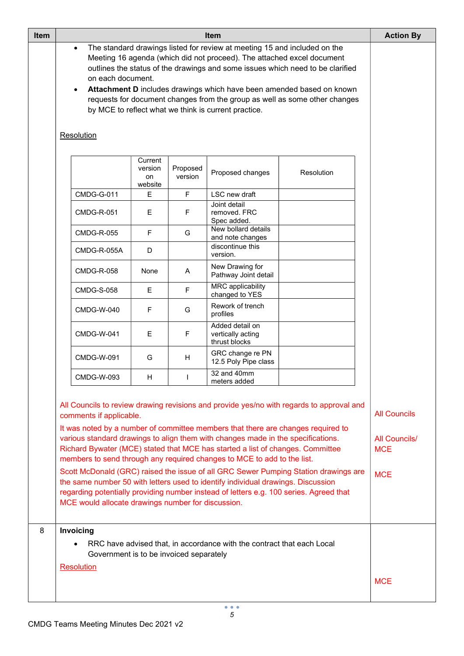| <b>Item</b> |                                                                                                                   | <b>Action By</b>                                                                                                                                                                                                                                                                                                                                                                             |                     |                                                                                                                                                                                                                                                                                                                                                                                                                                                                                                                 |                                                                                                                                                                                 |                                                                         |
|-------------|-------------------------------------------------------------------------------------------------------------------|----------------------------------------------------------------------------------------------------------------------------------------------------------------------------------------------------------------------------------------------------------------------------------------------------------------------------------------------------------------------------------------------|---------------------|-----------------------------------------------------------------------------------------------------------------------------------------------------------------------------------------------------------------------------------------------------------------------------------------------------------------------------------------------------------------------------------------------------------------------------------------------------------------------------------------------------------------|---------------------------------------------------------------------------------------------------------------------------------------------------------------------------------|-------------------------------------------------------------------------|
|             | on each document.<br>by MCE to reflect what we think is current practice.<br>Resolution                           | The standard drawings listed for review at meeting 15 and included on the<br>Meeting 16 agenda (which did not proceed). The attached excel document<br>outlines the status of the drawings and some issues which need to be clarified<br>Attachment D includes drawings which have been amended based on known<br>requests for document changes from the group as well as some other changes |                     |                                                                                                                                                                                                                                                                                                                                                                                                                                                                                                                 |                                                                                                                                                                                 |                                                                         |
|             |                                                                                                                   | Current<br>version<br>on<br>website                                                                                                                                                                                                                                                                                                                                                          | Proposed<br>version | Proposed changes                                                                                                                                                                                                                                                                                                                                                                                                                                                                                                | Resolution                                                                                                                                                                      |                                                                         |
|             | <b>CMDG-G-011</b>                                                                                                 | E                                                                                                                                                                                                                                                                                                                                                                                            | F                   | LSC new draft                                                                                                                                                                                                                                                                                                                                                                                                                                                                                                   |                                                                                                                                                                                 |                                                                         |
|             | <b>CMDG-R-051</b>                                                                                                 | Е                                                                                                                                                                                                                                                                                                                                                                                            | F                   | Joint detail<br>removed. FRC<br>Spec added.                                                                                                                                                                                                                                                                                                                                                                                                                                                                     |                                                                                                                                                                                 |                                                                         |
|             | <b>CMDG-R-055</b>                                                                                                 | F                                                                                                                                                                                                                                                                                                                                                                                            | G                   | New bollard details<br>and note changes                                                                                                                                                                                                                                                                                                                                                                                                                                                                         |                                                                                                                                                                                 |                                                                         |
|             | CMDG-R-055A                                                                                                       | D                                                                                                                                                                                                                                                                                                                                                                                            |                     | discontinue this<br>version.                                                                                                                                                                                                                                                                                                                                                                                                                                                                                    |                                                                                                                                                                                 |                                                                         |
|             | <b>CMDG-R-058</b>                                                                                                 | None                                                                                                                                                                                                                                                                                                                                                                                         | Α                   | New Drawing for<br>Pathway Joint detail                                                                                                                                                                                                                                                                                                                                                                                                                                                                         |                                                                                                                                                                                 |                                                                         |
|             | <b>CMDG-S-058</b>                                                                                                 | E                                                                                                                                                                                                                                                                                                                                                                                            | F                   | MRC applicability<br>changed to YES                                                                                                                                                                                                                                                                                                                                                                                                                                                                             |                                                                                                                                                                                 |                                                                         |
|             | <b>CMDG-W-040</b>                                                                                                 | F                                                                                                                                                                                                                                                                                                                                                                                            | G                   | Rework of trench<br>profiles                                                                                                                                                                                                                                                                                                                                                                                                                                                                                    |                                                                                                                                                                                 |                                                                         |
|             | <b>CMDG-W-041</b>                                                                                                 | E.                                                                                                                                                                                                                                                                                                                                                                                           | F                   | Added detail on<br>vertically acting<br>thrust blocks                                                                                                                                                                                                                                                                                                                                                                                                                                                           |                                                                                                                                                                                 |                                                                         |
|             | <b>CMDG-W-091</b>                                                                                                 | G                                                                                                                                                                                                                                                                                                                                                                                            | H                   | GRC change re PN<br>12.5 Poly Pipe class                                                                                                                                                                                                                                                                                                                                                                                                                                                                        |                                                                                                                                                                                 |                                                                         |
|             | CMDG-W-093                                                                                                        | н                                                                                                                                                                                                                                                                                                                                                                                            |                     | 32 and 40mm<br>meters added                                                                                                                                                                                                                                                                                                                                                                                                                                                                                     |                                                                                                                                                                                 |                                                                         |
|             | comments if applicable.<br>MCE would allocate drawings number for discussion.                                     |                                                                                                                                                                                                                                                                                                                                                                                              |                     | It was noted by a number of committee members that there are changes required to<br>various standard drawings to align them with changes made in the specifications.<br>Richard Bywater (MCE) stated that MCE has started a list of changes. Committee<br>members to send through any required changes to MCE to add to the list.<br>the same number 50 with letters used to identify individual drawings. Discussion<br>regarding potentially providing number instead of letters e.g. 100 series. Agreed that | All Councils to review drawing revisions and provide yes/no with regards to approval and<br>Scott McDonald (GRC) raised the issue of all GRC Sewer Pumping Station drawings are | <b>All Councils</b><br><b>All Councils/</b><br><b>MCE</b><br><b>MCE</b> |
| 8           | Invoicing                                                                                                         |                                                                                                                                                                                                                                                                                                                                                                                              |                     |                                                                                                                                                                                                                                                                                                                                                                                                                                                                                                                 |                                                                                                                                                                                 |                                                                         |
|             | RRC have advised that, in accordance with the contract that each Local<br>Government is to be invoiced separately |                                                                                                                                                                                                                                                                                                                                                                                              |                     |                                                                                                                                                                                                                                                                                                                                                                                                                                                                                                                 |                                                                                                                                                                                 |                                                                         |
|             | <b>Resolution</b>                                                                                                 | <b>MCE</b>                                                                                                                                                                                                                                                                                                                                                                                   |                     |                                                                                                                                                                                                                                                                                                                                                                                                                                                                                                                 |                                                                                                                                                                                 |                                                                         |

 $5\overline{ }$